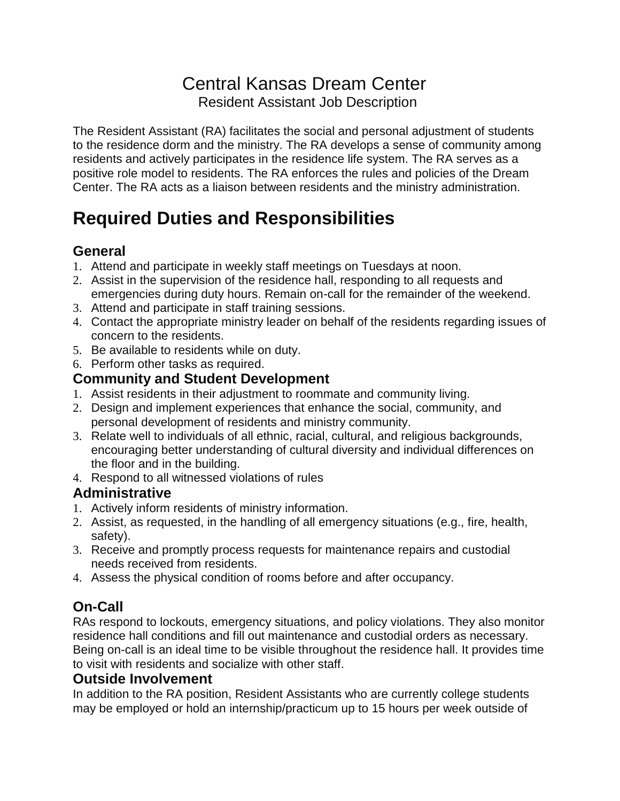# Central Kansas Dream Center Resident Assistant Job Description

The Resident Assistant (RA) facilitates the social and personal adjustment of students to the residence dorm and the ministry. The RA develops a sense of community among residents and actively participates in the residence life system. The RA serves as a positive role model to residents. The RA enforces the rules and policies of the Dream Center. The RA acts as a liaison between residents and the ministry administration.

# **Required Duties and Responsibilities**

### **General**

- 1. Attend and participate in weekly staff meetings on Tuesdays at noon.
- 2. Assist in the supervision of the residence hall, responding to all requests and emergencies during duty hours. Remain on-call for the remainder of the weekend.
- 3. Attend and participate in staff training sessions.
- 4. Contact the appropriate ministry leader on behalf of the residents regarding issues of concern to the residents.
- 5. Be available to residents while on duty.
- 6. Perform other tasks as required.

#### **Community and Student Development**

- 1. Assist residents in their adjustment to roommate and community living.
- 2. Design and implement experiences that enhance the social, community, and personal development of residents and ministry community.
- 3. Relate well to individuals of all ethnic, racial, cultural, and religious backgrounds, encouraging better understanding of cultural diversity and individual differences on the floor and in the building.
- 4. Respond to all witnessed violations of rules

#### **Administrative**

- 1. Actively inform residents of ministry information.
- 2. Assist, as requested, in the handling of all emergency situations (e.g., fire, health, safety).
- 3. Receive and promptly process requests for maintenance repairs and custodial needs received from residents.
- 4. Assess the physical condition of rooms before and after occupancy.

## **On-Call**

RAs respond to lockouts, emergency situations, and policy violations. They also monitor residence hall conditions and fill out maintenance and custodial orders as necessary. Being on-call is an ideal time to be visible throughout the residence hall. It provides time to visit with residents and socialize with other staff.

#### **Outside Involvement**

In addition to the RA position, Resident Assistants who are currently college students may be employed or hold an internship/practicum up to 15 hours per week outside of